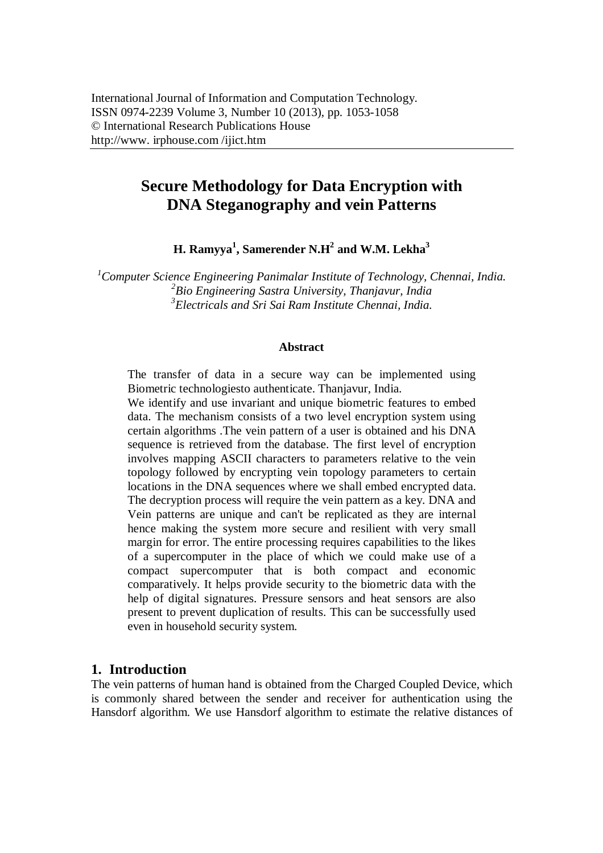# **Secure Methodology for Data Encryption with DNA Steganography and vein Patterns**

**H. Ramyya<sup>1</sup> , Samerender N.H<sup>2</sup> and W.M. Lekha<sup>3</sup>**

*<sup>1</sup>Computer Science Engineering Panimalar Institute of Technology, Chennai, India. 2 Bio Engineering Sastra University, Thanjavur, India 3 Electricals and Sri Sai Ram Institute Chennai, India.*

#### **Abstract**

The transfer of data in a secure way can be implemented using Biometric technologiesto authenticate. Thanjavur, India.

We identify and use invariant and unique biometric features to embed data. The mechanism consists of a two level encryption system using certain algorithms .The vein pattern of a user is obtained and his DNA sequence is retrieved from the database. The first level of encryption involves mapping ASCII characters to parameters relative to the vein topology followed by encrypting vein topology parameters to certain locations in the DNA sequences where we shall embed encrypted data. The decryption process will require the vein pattern as a key. DNA and Vein patterns are unique and can't be replicated as they are internal hence making the system more secure and resilient with very small margin for error. The entire processing requires capabilities to the likes of a supercomputer in the place of which we could make use of a compact supercomputer that is both compact and economic comparatively. It helps provide security to the biometric data with the help of digital signatures. Pressure sensors and heat sensors are also present to prevent duplication of results. This can be successfully used even in household security system.

#### **1. Introduction**

The vein patterns of human hand is obtained from the Charged Coupled Device, which is commonly shared between the sender and receiver for authentication using the Hansdorf algorithm. We use Hansdorf algorithm to estimate the relative distances of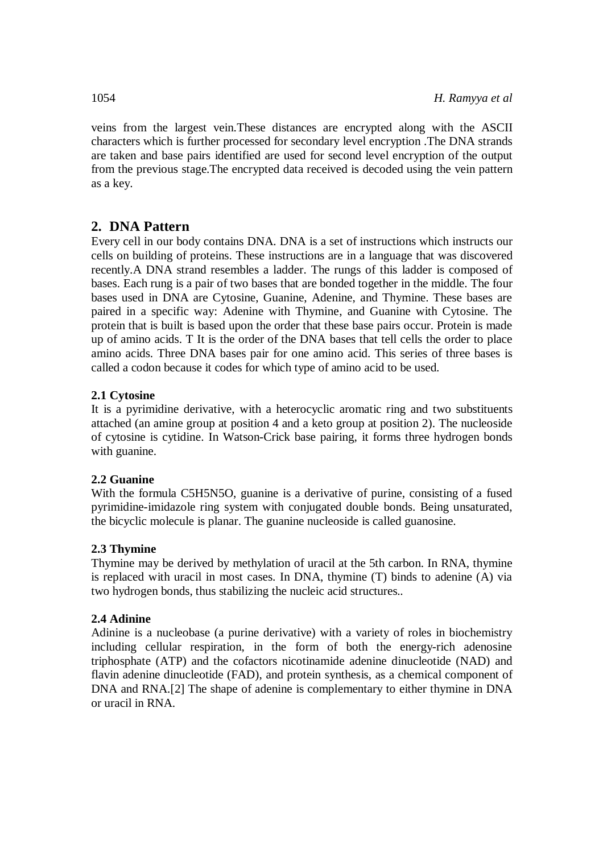veins from the largest vein.These distances are encrypted along with the ASCII characters which is further processed for secondary level encryption .The DNA strands are taken and base pairs identified are used for second level encryption of the output from the previous stage.The encrypted data received is decoded using the vein pattern as a key.

### **2. DNA Pattern**

Every cell in our body contains DNA. DNA is a set of instructions which instructs our cells on building of proteins. These instructions are in a language that was discovered recently.A DNA strand resembles a ladder. The rungs of this ladder is composed of bases. Each rung is a pair of two bases that are bonded together in the middle. The four bases used in DNA are Cytosine, Guanine, Adenine, and Thymine. These bases are paired in a specific way: Adenine with Thymine, and Guanine with Cytosine. The protein that is built is based upon the order that these base pairs occur. Protein is made up of amino acids. T It is the order of the DNA bases that tell cells the order to place amino acids. Three DNA bases pair for one amino acid. This series of three bases is called a codon because it codes for which type of amino acid to be used.

### **2.1 Cytosine**

It is a pyrimidine derivative, with a heterocyclic aromatic ring and two substituents attached (an amine group at position 4 and a keto group at position 2). The nucleoside of cytosine is cytidine. In Watson-Crick base pairing, it forms three hydrogen bonds with guanine.

### **2.2 Guanine**

With the formula C5H5N5O, guanine is a derivative of purine, consisting of a fused pyrimidine-imidazole ring system with conjugated double bonds. Being unsaturated, the bicyclic molecule is planar. The guanine nucleoside is called guanosine.

### **2.3 Thymine**

Thymine may be derived by methylation of uracil at the 5th carbon. In RNA, thymine is replaced with uracil in most cases. In DNA, thymine (T) binds to adenine (A) via two hydrogen bonds, thus stabilizing the nucleic acid structures..

### **2.4 Adinine**

Adinine is a nucleobase (a purine derivative) with a variety of roles in biochemistry including cellular respiration, in the form of both the energy-rich adenosine triphosphate (ATP) and the cofactors nicotinamide adenine dinucleotide (NAD) and flavin adenine dinucleotide (FAD), and protein synthesis, as a chemical component of DNA and RNA.[2] The shape of adenine is complementary to either thymine in DNA or uracil in RNA.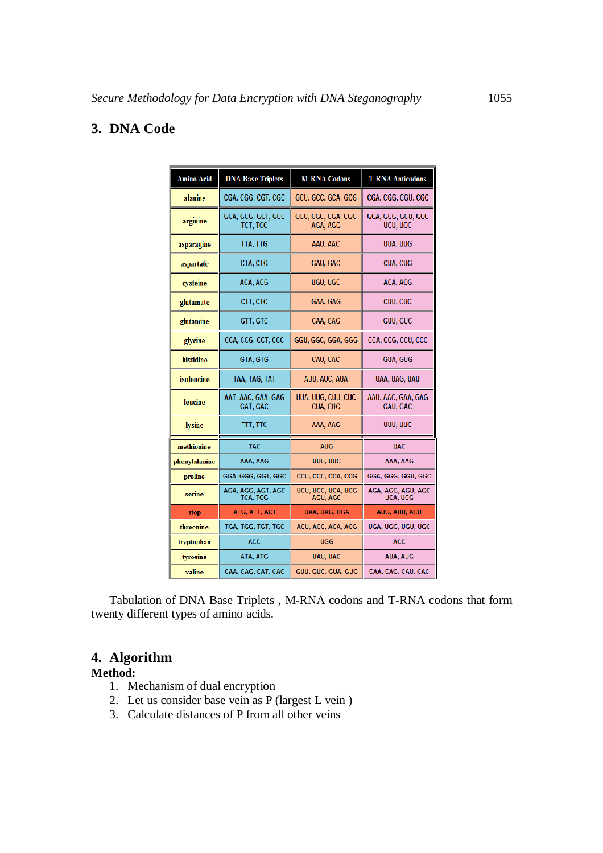### **3. DNA Code**

| <b>Amino Acid</b> | <b>DNA Base Triplets</b>              | <b>M-RNA Codons</b>                   | <b>T-RNA Anticodons</b>               |
|-------------------|---------------------------------------|---------------------------------------|---------------------------------------|
| alanine           | CGA, CGG, CGT, CGC                    | GCU, GCC, GCA, GCG                    | CGA, CGG, CGU, CGC                    |
| arginine          | GCA, GCG, GCT, GCC<br>TCT, TCC        | CGU, CGC, CGA, CGG<br>AGA, AGG        | GCA, GCG, GCU, GCC<br>UCU, UCC        |
| asparagine        | TTA, TTG                              | AAU, AAC                              | UUA, UUG                              |
| aspartate         | CTA, CTG                              | GAU, GAC                              | CUA, CUG                              |
| cysteine          | ACA, ACG                              | UGU, UGC                              | ACA, ACG                              |
| glutamate         | CTT, CTC                              | <b>GAA, GAG</b>                       | CUU, CUC                              |
| glutamine         | GTT, GTC                              | CAA, CAG                              | GUU, GUC                              |
| glycine           | CCA, CCG, CCT, CCC                    | GGU, GGC, GGA, GGG                    | CCA, CCG, CCU, CCC                    |
| histidine         | GTA, GTG                              | CAU, CAC                              | <b>GUA, GUG</b>                       |
| isoleucine        | TAA, TAG, TAT                         | AUU, AUC, AUA                         | UAA, UAG, UAU                         |
| leucine           | AAT, AAC, GAA, GAG<br>GAT, GAC        | UUA, UUG, CUU, CUC<br><b>CUA, CUG</b> | AAU, AAC, GAA, GAG<br><b>GAU, GAC</b> |
| lysine            | TTT, TTC                              | AAA, AAG                              | UUU, UUC                              |
| methionine        | <b>TAC</b>                            | <b>AUG</b>                            | <b>UAC</b>                            |
| phenylalanine     | AAA, AAG                              | UUU, UUC                              | AAA, AAG                              |
| proline           | GGA, GGG, GGT, GGC                    | CCU, CCC, CCA, CCG                    | GGA, GGG, GGU, GGC                    |
| serine            | AGA, AGG, AGT, AGC<br><b>TCA, TCG</b> | UCU, UCC, UCA, UCG<br><b>AGU, AGC</b> | AGA, AGG, AGU, AGC<br>UCA, UCG        |
| stop              | ATG, ATT, ACT                         | UAA, UAG, UGA                         | <b>AUG, AUU, ACU</b>                  |
| threonine         | TGA, TGG, TGT, TGC                    | ACU, ACC, ACA, ACG                    | UGA, UGG, UGU, UGC                    |
| tryptophan        | <b>ACC</b>                            | <b>UGG</b>                            | <b>ACC</b>                            |
| tyrosine          | ATA, ATG                              | <b>UAU, UAC</b>                       | <b>AUA, AUG</b>                       |
| valine            | CAA, CAG, CAT, CAC                    | GUU, GUC, GUA, GUG                    | CAA, CAG, CAU, CAC                    |

Tabulation of DNA Base Triplets , M-RNA codons and T-RNA codons that form twenty different types of amino acids.

## **4. Algorithm**

#### **Method:**

- 1. Mechanism of dual encryption
- 2. Let us consider base vein as P (largest L vein )
- 3. Calculate distances of P from all other veins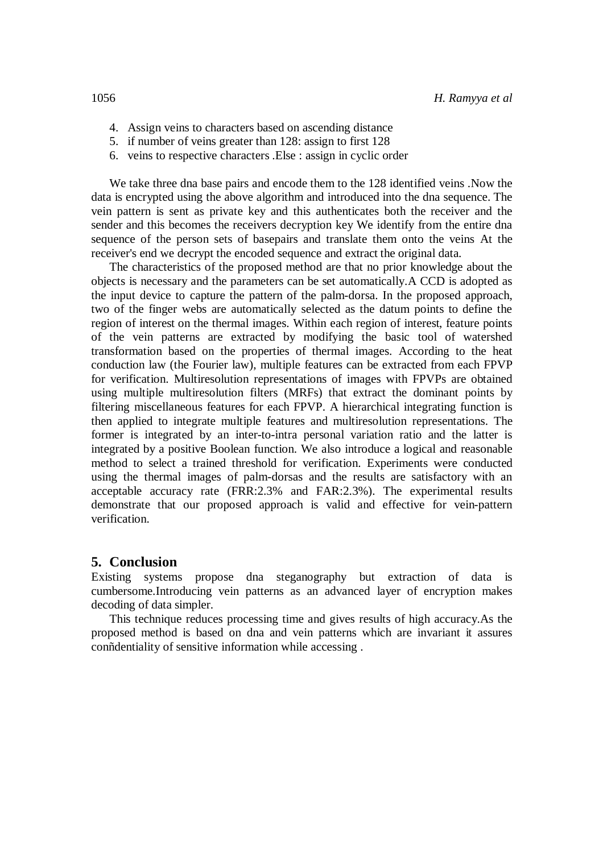- 4. Assign veins to characters based on ascending distance
- 5. if number of veins greater than 128: assign to first 128
- 6. veins to respective characters .Else : assign in cyclic order

We take three dna base pairs and encode them to the 128 identified veins .Now the data is encrypted using the above algorithm and introduced into the dna sequence. The vein pattern is sent as private key and this authenticates both the receiver and the sender and this becomes the receivers decryption key We identify from the entire dna sequence of the person sets of basepairs and translate them onto the veins At the receiver's end we decrypt the encoded sequence and extract the original data.

The characteristics of the proposed method are that no prior knowledge about the objects is necessary and the parameters can be set automatically.A CCD is adopted as the input device to capture the pattern of the palm-dorsa. In the proposed approach, two of the finger webs are automatically selected as the datum points to define the region of interest on the thermal images. Within each region of interest, feature points of the vein patterns are extracted by modifying the basic tool of watershed transformation based on the properties of thermal images. According to the heat conduction law (the Fourier law), multiple features can be extracted from each FPVP for verification. Multiresolution representations of images with FPVPs are obtained using multiple multiresolution filters (MRFs) that extract the dominant points by filtering miscellaneous features for each FPVP. A hierarchical integrating function is then applied to integrate multiple features and multiresolution representations. The former is integrated by an inter-to-intra personal variation ratio and the latter is integrated by a positive Boolean function. We also introduce a logical and reasonable method to select a trained threshold for verification. Experiments were conducted using the thermal images of palm-dorsas and the results are satisfactory with an acceptable accuracy rate (FRR:2.3% and FAR:2.3%). The experimental results demonstrate that our proposed approach is valid and effective for vein-pattern verification.

#### **5. Conclusion**

Existing systems propose dna steganography but extraction of data is cumbersome.Introducing vein patterns as an advanced layer of encryption makes decoding of data simpler.

This technique reduces processing time and gives results of high accuracy.As the proposed method is based on dna and vein patterns which are invariant it assures conñdentiality of sensitive information while accessing .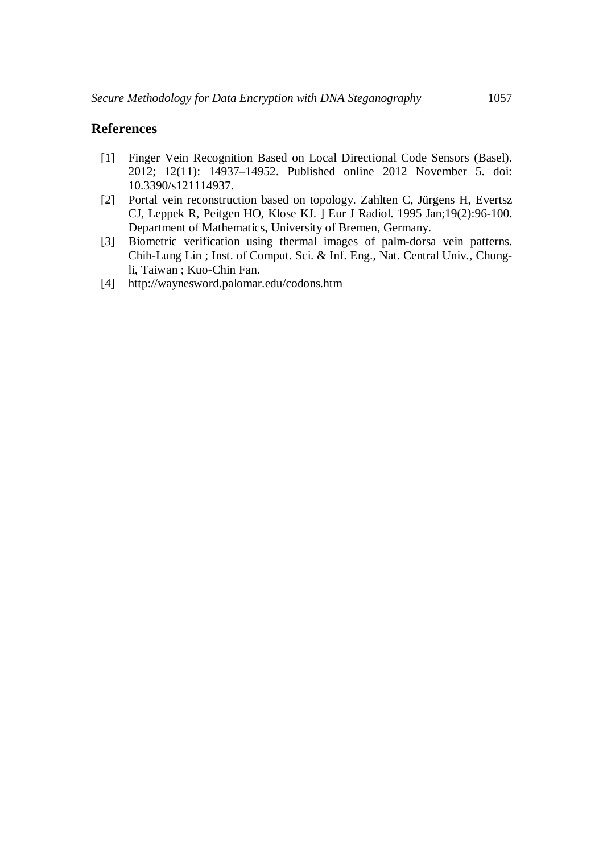### **References**

- [1] Finger Vein Recognition Based on Local Directional Code Sensors (Basel). 2012; 12(11): 14937–14952. Published online 2012 November 5. doi: 10.3390/s121114937.
- [2] Portal vein reconstruction based on topology. Zahlten C, Jürgens H, Evertsz CJ, Leppek R, Peitgen HO, Klose KJ. ] Eur J Radiol. 1995 Jan;19(2):96-100. Department of Mathematics, University of Bremen, Germany.
- [3] Biometric verification using thermal images of palm-dorsa vein patterns. Chih-Lung Lin ; Inst. of Comput. Sci. & Inf. Eng., Nat. Central Univ., Chungli, Taiwan ; Kuo-Chin Fan.
- [4] http://waynesword.palomar.edu/codons.htm